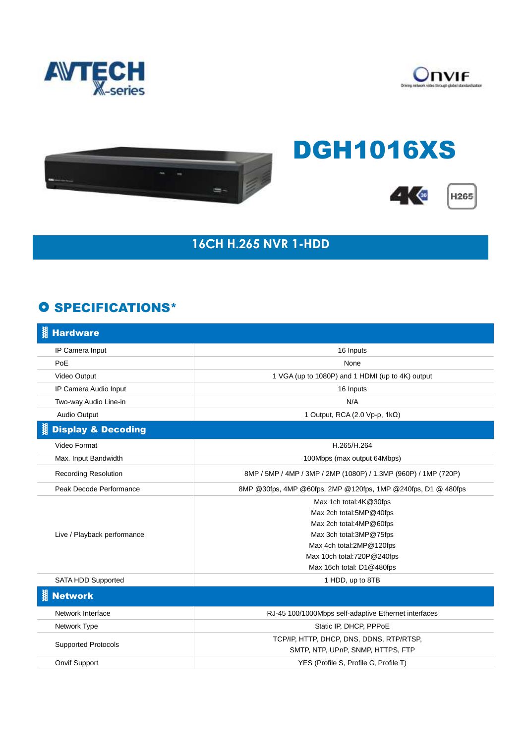





## DGH1016XS





## **16CH H.265 NVR 1-HDD**

## **O SPECIFICATIONS\***

| <b>Hardware</b>               |                                                                 |
|-------------------------------|-----------------------------------------------------------------|
| IP Camera Input               | 16 Inputs                                                       |
| PoE                           | None                                                            |
| Video Output                  | 1 VGA (up to 1080P) and 1 HDMI (up to 4K) output                |
| IP Camera Audio Input         | 16 Inputs                                                       |
| Two-way Audio Line-in         | N/A                                                             |
| Audio Output                  | 1 Output, RCA (2.0 Vp-p, 1kΩ)                                   |
| <b>Display &amp; Decoding</b> |                                                                 |
| Video Format                  | H.265/H.264                                                     |
| Max. Input Bandwidth          | 100Mbps (max output 64Mbps)                                     |
| <b>Recording Resolution</b>   | 8MP / 5MP / 4MP / 3MP / 2MP (1080P) / 1.3MP (960P) / 1MP (720P) |
| Peak Decode Performance       | 8MP @30fps, 4MP @60fps, 2MP @120fps, 1MP @240fps, D1 @ 480fps   |
|                               | Max 1ch total:4K@30fps                                          |
| Live / Playback performance   | Max 2ch total:5MP@40fps                                         |
|                               | Max 2ch total:4MP@60fps                                         |
|                               | Max 3ch total: 3MP@75fps                                        |
|                               | Max 4ch total:2MP@120fps                                        |
|                               | Max 10ch total:720P@240fps                                      |
|                               | Max 16ch total: D1@480fps                                       |
| SATA HDD Supported            | 1 HDD, up to 8TB                                                |
| <b>Network</b>                |                                                                 |
| Network Interface             | RJ-45 100/1000Mbps self-adaptive Ethernet interfaces            |
| Network Type                  | Static IP, DHCP, PPPoE                                          |
| <b>Supported Protocols</b>    | TCP/IP, HTTP, DHCP, DNS, DDNS, RTP/RTSP,                        |
|                               | SMTP, NTP, UPnP, SNMP, HTTPS, FTP                               |
| <b>Onvif Support</b>          | YES (Profile S, Profile G, Profile T)                           |